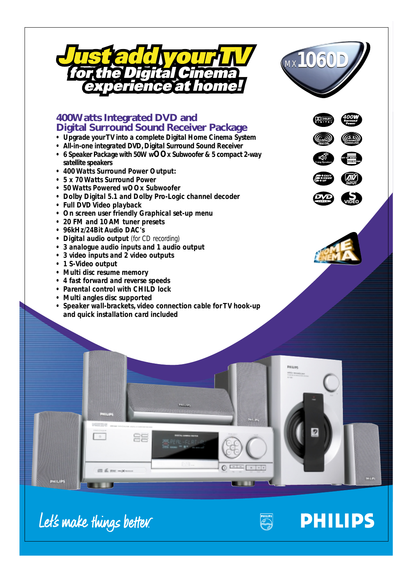



# **400Watts Integrated DVD and Digital Surround Sound Receiver Package**

- *Upgrade your TV into a complete Digital Home Cinema System*
- *All-in-one integrated DVD, Digital Surround Sound Receiver*
- *6 Speaker Package with 50W wOOx Subwoofer & 5 compact 2-way satellite speakers*
- *400 Watts Surround Power Output:*
- *5 x 70 Watts Surround Power*
- *50 Watts Powered wOOx Subwoofer*
- *Dolby Digital 5.1 and Dolby Pro-Logic channel decoder*
- *Full DVD Video playback*
- *On screen user friendly Graphical set-up menu*
- *20 FM and 10 AM tuner presets*
- *96kHz/24Bit Audio DAC's*
- *Digital audio output (for CD recording)*
- *3 analogue audio inputs and 1 audio output*
- *3 video inputs and 2 video outputs*
- *1 S-Video output*
- *Multi disc resume memory*
- *4 fast forward and reverse speeds*
- *Parental control with CHILD lock*
- *Multi angles disc supported*
- *Speaker wall-brackets, video connection cable for TV hook-up and quick installation card included*





**PHILIPS** 



Let's make things better.